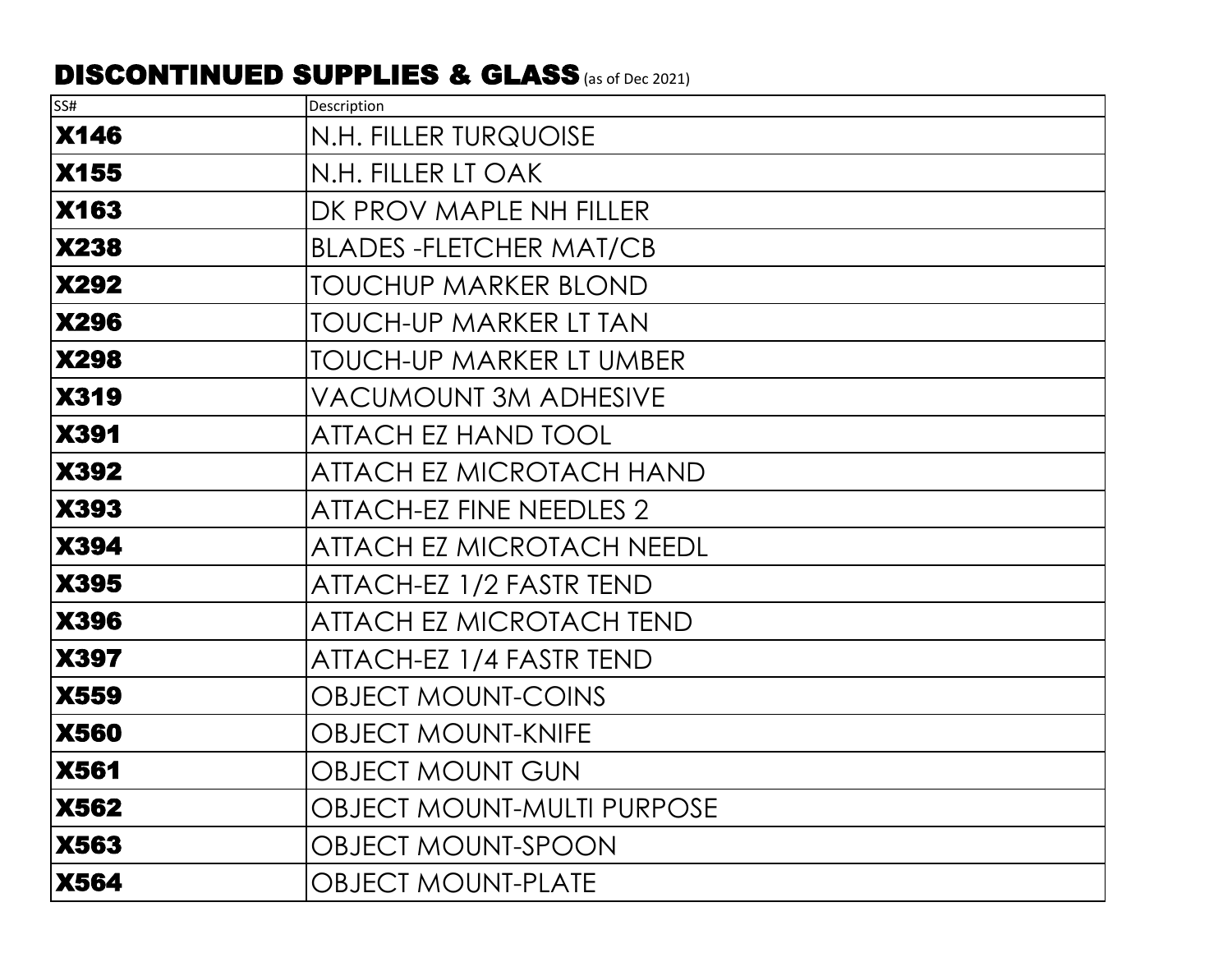## DISCONTINUED SUPPLIES & GLASS (as of Dec 2021)

| SS#         | Description                       |
|-------------|-----------------------------------|
| <b>X146</b> | N.H. FILLER TURQUOISE             |
| <b>X155</b> | N.H. FILLER LT OAK                |
| <b>X163</b> | DK PROV MAPLE NH FILLER           |
| <b>X238</b> | <b>BLADES-FLETCHER MAT/CB</b>     |
| <b>X292</b> | <b>TOUCHUP MARKER BLOND</b>       |
| <b>X296</b> | <b>TOUCH-UP MARKER LT TAN</b>     |
| <b>X298</b> | TOUCH-UP MARKER LT UMBER          |
| <b>X319</b> | VACUMOUNT 3M ADHESIVE             |
| <b>X391</b> | <b>ATTACH EZ HAND TOOL</b>        |
| <b>X392</b> | ATTACH EZ MICROTACH HAND          |
| <b>X393</b> | <b>ATTACH-EZ FINE NEEDLES 2</b>   |
| <b>X394</b> | <b>ATTACH EZ MICROTACH NEEDL</b>  |
| <b>X395</b> | ATTACH-EZ 1/2 FASTR TEND          |
| <b>X396</b> | <b>ATTACH EZ MICROTACH TEND</b>   |
| <b>X397</b> | ATTACH-EZ 1/4 FASTR TEND          |
| <b>X559</b> | <b>OBJECT MOUNT-COINS</b>         |
| <b>X560</b> | <b>OBJECT MOUNT-KNIFE</b>         |
| <b>X561</b> | <b>OBJECT MOUNT GUN</b>           |
| <b>X562</b> | <b>OBJECT MOUNT-MULTI PURPOSE</b> |
| <b>X563</b> | OBJECT MOUNT-SPOON                |
| <b>X564</b> | <b>OBJECT MOUNT-PLATE</b>         |